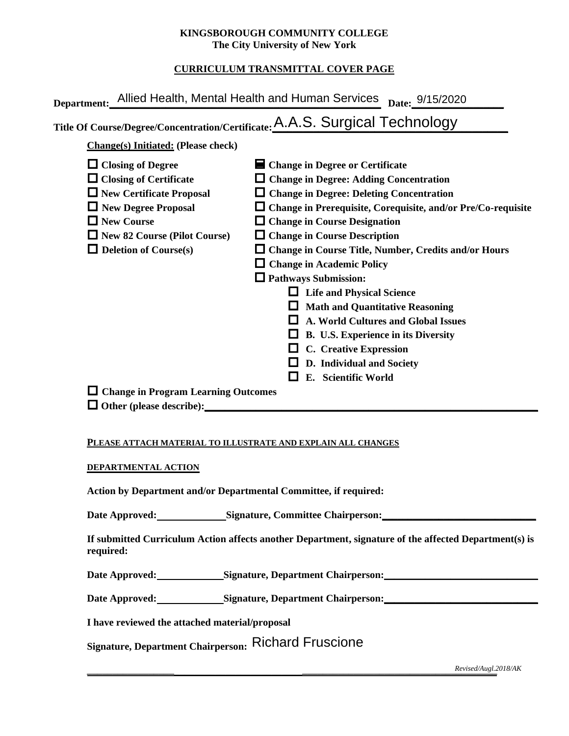### **KINGSBOROUGH COMMUNITY COLLEGE The City University of New York**

### **CURRICULUM TRANSMITTAL COVER PAGE**

|                                            | Title Of Course/Degree/Concentration/Certificate: A.A.S. Surgical Technology |  |  |  |  |  |  |
|--------------------------------------------|------------------------------------------------------------------------------|--|--|--|--|--|--|
| <b>Change(s)</b> Initiated: (Please check) |                                                                              |  |  |  |  |  |  |
| $\Box$ Closing of Degree                   | ■ Change in Degree or Certificate                                            |  |  |  |  |  |  |
| $\Box$ Closing of Certificate              | $\Box$ Change in Degree: Adding Concentration                                |  |  |  |  |  |  |
| $\Box$ New Certificate Proposal            | $\Box$ Change in Degree: Deleting Concentration                              |  |  |  |  |  |  |
| $\Box$ New Degree Proposal                 | $\Box$ Change in Prerequisite, Corequisite, and/or Pre/Co-requisite          |  |  |  |  |  |  |
| $\Box$ New Course                          | $\Box$ Change in Course Designation                                          |  |  |  |  |  |  |
| $\Box$ New 82 Course (Pilot Course)        | $\Box$ Change in Course Description                                          |  |  |  |  |  |  |
| $\Box$ Deletion of Course(s)               | $\Box$ Change in Course Title, Number, Credits and/or Hours                  |  |  |  |  |  |  |
|                                            | $\Box$ Change in Academic Policy                                             |  |  |  |  |  |  |
| $\Box$ Pathways Submission:                |                                                                              |  |  |  |  |  |  |
| <b>Life and Physical Science</b>           |                                                                              |  |  |  |  |  |  |
|                                            | <b>Math and Quantitative Reasoning</b>                                       |  |  |  |  |  |  |
|                                            | <b>A. World Cultures and Global Issues</b>                                   |  |  |  |  |  |  |
|                                            | B. U.S. Experience in its Diversity                                          |  |  |  |  |  |  |
|                                            | <b>C.</b> Creative Expression                                                |  |  |  |  |  |  |
|                                            | D. Individual and Society                                                    |  |  |  |  |  |  |
|                                            | E. Scientific World                                                          |  |  |  |  |  |  |
| $\Box$ Change in Program Learning Outcomes |                                                                              |  |  |  |  |  |  |
| $\Box$ Other (please describe):            |                                                                              |  |  |  |  |  |  |

### **PLEASE ATTACH MATERIAL TO ILLUSTRATE AND EXPLAIN ALL CHANGES**

#### **DEPARTMENTAL ACTION**

**Action by Department and/or Departmental Committee, if required:**

Date Approved: Signature, Committee Chairperson:

**If submitted Curriculum Action affects another Department, signature of the affected Department(s) is required:**

Date Approved: Signature, Department Chairperson: 2000 and 2000 and 2000 and 2000 and 2000 and 2000 and 2000 and 2000 and 2000 and 2000 and 2000 and 2000 and 2000 and 2000 and 2000 and 2000 and 2000 and 2000 and 2000 and 2

Date Approved: Signature, Department Chairperson: Network and Approved: Network and Separature, Department Chairperson:

**I have reviewed the attached material/proposal** 

**Signature, Department Chairperson:**  Richard Fruscione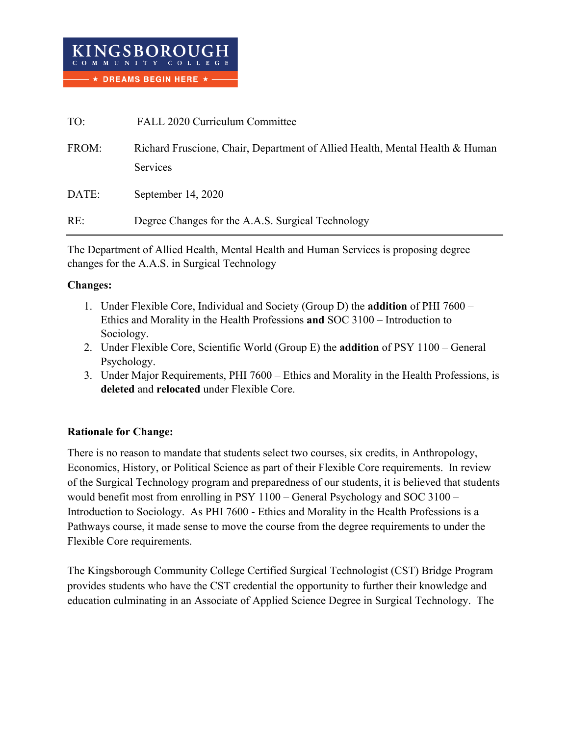| TO:   | FALL 2020 Curriculum Committee                                                           |
|-------|------------------------------------------------------------------------------------------|
| FROM: | Richard Fruscione, Chair, Department of Allied Health, Mental Health & Human<br>Services |
| DATE: | September $14, 2020$                                                                     |
| RE:   | Degree Changes for the A.A.S. Surgical Technology                                        |

The Department of Allied Health, Mental Health and Human Services is proposing degree changes for the A.A.S. in Surgical Technology

# **Changes:**

- 1. Under Flexible Core, Individual and Society (Group D) the **addition** of PHI 7600 Ethics and Morality in the Health Professions **and** SOC 3100 – Introduction to Sociology.
- 2. Under Flexible Core, Scientific World (Group E) the **addition** of PSY 1100 General Psychology.
- 3. Under Major Requirements, PHI 7600 Ethics and Morality in the Health Professions, is **deleted** and **relocated** under Flexible Core.

# **Rationale for Change:**

There is no reason to mandate that students select two courses, six credits, in Anthropology, Economics, History, or Political Science as part of their Flexible Core requirements. In review of the Surgical Technology program and preparedness of our students, it is believed that students would benefit most from enrolling in PSY 1100 – General Psychology and SOC 3100 – Introduction to Sociology. As PHI 7600 - Ethics and Morality in the Health Professions is a Pathways course, it made sense to move the course from the degree requirements to under the Flexible Core requirements.

The Kingsborough Community College Certified Surgical Technologist (CST) Bridge Program provides students who have the CST credential the opportunity to further their knowledge and education culminating in an Associate of Applied Science Degree in Surgical Technology. The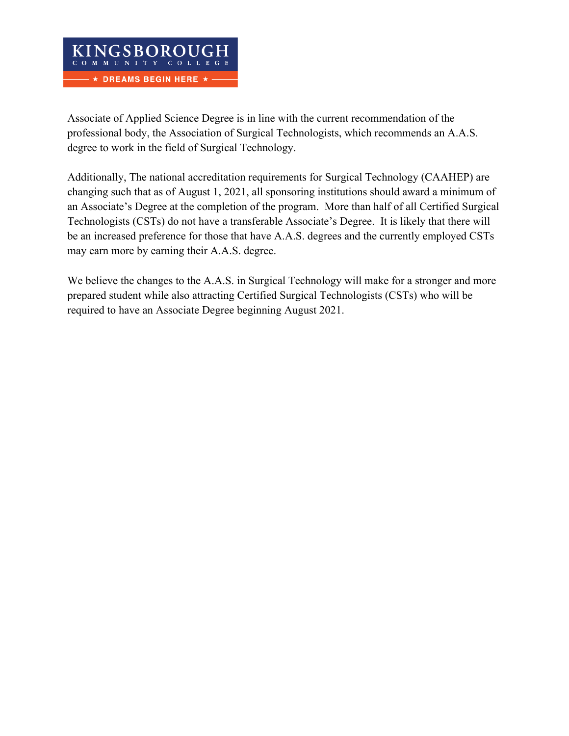Associate of Applied Science Degree is in line with the current recommendation of the professional body, the Association of Surgical Technologists, which recommends an A.A.S. degree to work in the field of Surgical Technology.

Additionally, The national accreditation requirements for Surgical Technology (CAAHEP) are changing such that as of August 1, 2021, all sponsoring institutions should award a minimum of an Associate's Degree at the completion of the program. More than half of all Certified Surgical Technologists (CSTs) do not have a transferable Associate's Degree. It is likely that there will be an increased preference for those that have A.A.S. degrees and the currently employed CSTs may earn more by earning their A.A.S. degree.

We believe the changes to the A.A.S. in Surgical Technology will make for a stronger and more prepared student while also attracting Certified Surgical Technologists (CSTs) who will be required to have an Associate Degree beginning August 2021.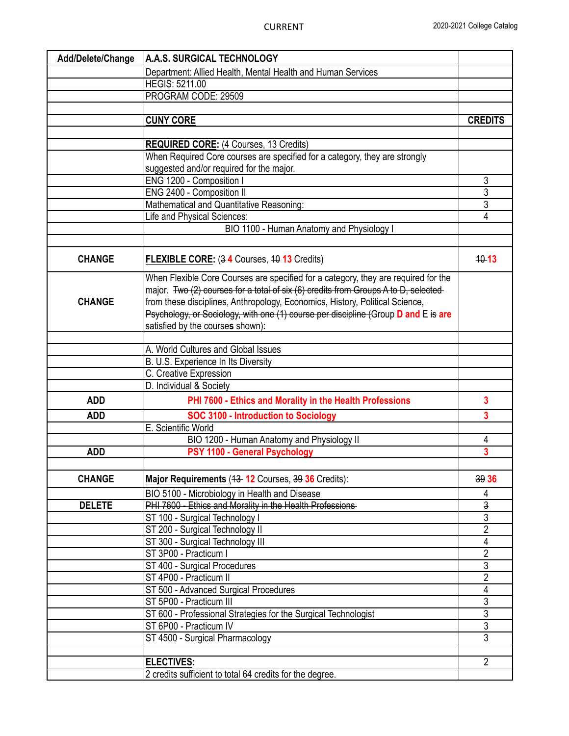| Add/Delete/Change | A.A.S. SURGICAL TECHNOLOGY                                                         |                                  |  |  |  |  |
|-------------------|------------------------------------------------------------------------------------|----------------------------------|--|--|--|--|
|                   | Department: Allied Health, Mental Health and Human Services                        |                                  |  |  |  |  |
|                   | <b>HEGIS: 5211.00</b>                                                              |                                  |  |  |  |  |
|                   | PROGRAM CODE: 29509                                                                |                                  |  |  |  |  |
|                   |                                                                                    |                                  |  |  |  |  |
|                   | <b>CUNY CORE</b>                                                                   | <b>CREDITS</b>                   |  |  |  |  |
|                   |                                                                                    |                                  |  |  |  |  |
|                   | <b>REQUIRED CORE: (4 Courses, 13 Credits)</b>                                      |                                  |  |  |  |  |
|                   | When Required Core courses are specified for a category, they are strongly         |                                  |  |  |  |  |
|                   | suggested and/or required for the major.                                           |                                  |  |  |  |  |
|                   | ENG 1200 - Composition I                                                           |                                  |  |  |  |  |
|                   | ENG 2400 - Composition II                                                          |                                  |  |  |  |  |
|                   | Mathematical and Quantitative Reasoning:                                           |                                  |  |  |  |  |
|                   | Life and Physical Sciences:                                                        |                                  |  |  |  |  |
|                   | BIO 1100 - Human Anatomy and Physiology I                                          |                                  |  |  |  |  |
|                   |                                                                                    |                                  |  |  |  |  |
| <b>CHANGE</b>     | <b>FLEXIBLE CORE:</b> (3 4 Courses, 40 13 Credits)                                 | $40 - 13$                        |  |  |  |  |
|                   | When Flexible Core Courses are specified for a category, they are required for the |                                  |  |  |  |  |
|                   | major. Two (2) courses for a total of six (6) credits from Groups A to D, selected |                                  |  |  |  |  |
| <b>CHANGE</b>     | from these disciplines, Anthropology, Economics, History, Political Science,       |                                  |  |  |  |  |
|                   | Psychology, or Sociology, with one (1) course per discipline (Group D and E is are |                                  |  |  |  |  |
|                   | satisfied by the courses shown):                                                   |                                  |  |  |  |  |
|                   |                                                                                    |                                  |  |  |  |  |
|                   | A. World Cultures and Global Issues                                                |                                  |  |  |  |  |
|                   | B. U.S. Experience In Its Diversity                                                |                                  |  |  |  |  |
|                   | C. Creative Expression                                                             |                                  |  |  |  |  |
|                   | D. Individual & Society                                                            |                                  |  |  |  |  |
| <b>ADD</b>        | PHI 7600 - Ethics and Morality in the Health Professions                           | $\overline{\mathbf{3}}$          |  |  |  |  |
| <b>ADD</b>        | SOC 3100 - Introduction to Sociology                                               | $\overline{3}$                   |  |  |  |  |
|                   | E. Scientific World                                                                |                                  |  |  |  |  |
|                   | BIO 1200 - Human Anatomy and Physiology II                                         | 4                                |  |  |  |  |
| <b>ADD</b>        | PSY 1100 - General Psychology                                                      | $\overline{3}$                   |  |  |  |  |
|                   |                                                                                    |                                  |  |  |  |  |
| <b>CHANGE</b>     | Major Requirements (43-12 Courses, 39 36 Credits):                                 | 39 36                            |  |  |  |  |
|                   | BIO 5100 - Microbiology in Health and Disease                                      | 4                                |  |  |  |  |
| <b>DELETE</b>     | PHI 7600 - Ethics and Morality in the Health Professions                           | $\overline{3}$                   |  |  |  |  |
|                   | ST 100 - Surgical Technology I                                                     | $\overline{3}$<br>$\overline{2}$ |  |  |  |  |
|                   | ST 200 - Surgical Technology II                                                    |                                  |  |  |  |  |
|                   | ST 300 - Surgical Technology III<br>ST 3P00 - Practicum I                          | 4<br>$\overline{2}$              |  |  |  |  |
|                   |                                                                                    | $\overline{3}$                   |  |  |  |  |
|                   | ST 400 - Surgical Procedures<br>ST 4P00 - Practicum II                             | $\overline{2}$                   |  |  |  |  |
|                   | ST 500 - Advanced Surgical Procedures                                              | 4                                |  |  |  |  |
|                   | ST 5P00 - Practicum III                                                            | $\overline{3}$                   |  |  |  |  |
|                   | ST 600 - Professional Strategies for the Surgical Technologist                     | $\overline{3}$                   |  |  |  |  |
|                   | ST 6P00 - Practicum IV                                                             | $\overline{3}$                   |  |  |  |  |
|                   | ST 4500 - Surgical Pharmacology                                                    | 3                                |  |  |  |  |
|                   |                                                                                    |                                  |  |  |  |  |
|                   | <b>ELECTIVES:</b>                                                                  | $\overline{2}$                   |  |  |  |  |
|                   | 2 credits sufficient to total 64 credits for the degree.                           |                                  |  |  |  |  |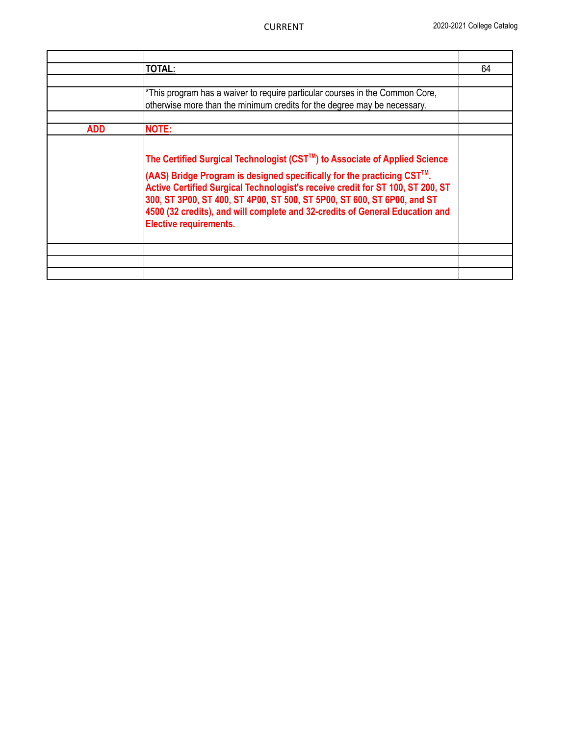|            | <b>TOTAL:</b>                                                                                                                                                                                                                                                                                                                                                                                                                      | 64 |
|------------|------------------------------------------------------------------------------------------------------------------------------------------------------------------------------------------------------------------------------------------------------------------------------------------------------------------------------------------------------------------------------------------------------------------------------------|----|
|            |                                                                                                                                                                                                                                                                                                                                                                                                                                    |    |
|            | *This program has a waiver to require particular courses in the Common Core,<br>otherwise more than the minimum credits for the degree may be necessary.                                                                                                                                                                                                                                                                           |    |
| <b>ADD</b> | <b>NOTE:</b>                                                                                                                                                                                                                                                                                                                                                                                                                       |    |
|            | The Certified Surgical Technologist (CST™) to Associate of Applied Science<br>(AAS) Bridge Program is designed specifically for the practicing CST™.<br>Active Certified Surgical Technologist's receive credit for ST 100, ST 200, ST<br>300, ST 3P00, ST 400, ST 4P00, ST 500, ST 5P00, ST 600, ST 6P00, and ST<br>4500 (32 credits), and will complete and 32-credits of General Education and<br><b>Elective requirements.</b> |    |
|            |                                                                                                                                                                                                                                                                                                                                                                                                                                    |    |
|            |                                                                                                                                                                                                                                                                                                                                                                                                                                    |    |
|            |                                                                                                                                                                                                                                                                                                                                                                                                                                    |    |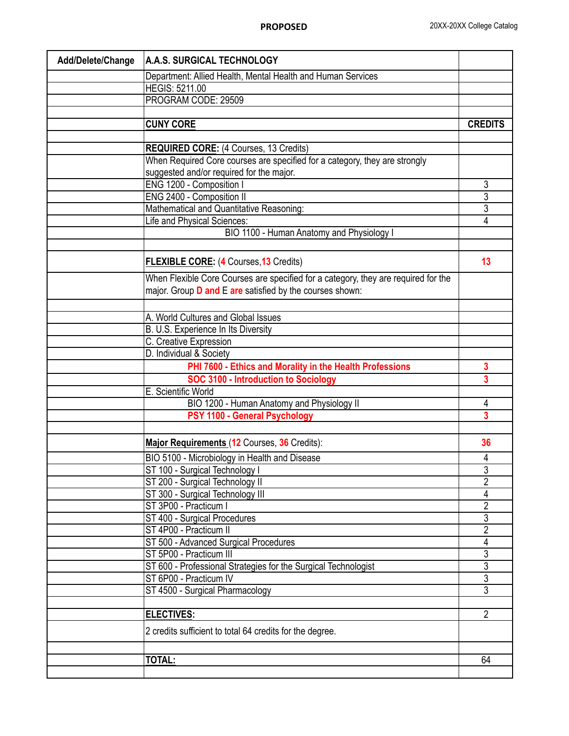| Add/Delete/Change | A.A.S. SURGICAL TECHNOLOGY                                                         |                                  |  |  |  |  |  |
|-------------------|------------------------------------------------------------------------------------|----------------------------------|--|--|--|--|--|
|                   | Department: Allied Health, Mental Health and Human Services                        |                                  |  |  |  |  |  |
|                   | <b>HEGIS: 5211.00</b>                                                              |                                  |  |  |  |  |  |
|                   | PROGRAM CODE: 29509                                                                |                                  |  |  |  |  |  |
|                   |                                                                                    |                                  |  |  |  |  |  |
|                   | <b>CUNY CORE</b>                                                                   | <b>CREDITS</b>                   |  |  |  |  |  |
|                   |                                                                                    |                                  |  |  |  |  |  |
|                   | <b>REQUIRED CORE:</b> (4 Courses, 13 Credits)                                      |                                  |  |  |  |  |  |
|                   | When Required Core courses are specified for a category, they are strongly         |                                  |  |  |  |  |  |
|                   | suggested and/or required for the major.                                           |                                  |  |  |  |  |  |
|                   | ENG 1200 - Composition I                                                           | 3                                |  |  |  |  |  |
|                   | ENG 2400 - Composition II                                                          | $\overline{3}$                   |  |  |  |  |  |
|                   | Mathematical and Quantitative Reasoning:                                           | $\overline{3}$<br>$\overline{4}$ |  |  |  |  |  |
|                   | Life and Physical Sciences:                                                        |                                  |  |  |  |  |  |
|                   | BIO 1100 - Human Anatomy and Physiology I                                          |                                  |  |  |  |  |  |
|                   |                                                                                    |                                  |  |  |  |  |  |
|                   | <b>FLEXIBLE CORE: (4 Courses, 13 Credits)</b>                                      | 13                               |  |  |  |  |  |
|                   | When Flexible Core Courses are specified for a category, they are required for the |                                  |  |  |  |  |  |
|                   | major. Group <b>D and E are</b> satisfied by the courses shown:                    |                                  |  |  |  |  |  |
|                   |                                                                                    |                                  |  |  |  |  |  |
|                   | A. World Cultures and Global Issues                                                |                                  |  |  |  |  |  |
|                   | B. U.S. Experience In Its Diversity                                                |                                  |  |  |  |  |  |
|                   | C. Creative Expression                                                             |                                  |  |  |  |  |  |
|                   | D. Individual & Society                                                            |                                  |  |  |  |  |  |
|                   | PHI 7600 - Ethics and Morality in the Health Professions                           | 3                                |  |  |  |  |  |
|                   | <b>SOC 3100 - Introduction to Sociology</b>                                        | 3                                |  |  |  |  |  |
|                   | E. Scientific World                                                                |                                  |  |  |  |  |  |
|                   | BIO 1200 - Human Anatomy and Physiology II                                         | 4                                |  |  |  |  |  |
|                   | PSY 1100 - General Psychology                                                      | $\overline{3}$                   |  |  |  |  |  |
|                   |                                                                                    |                                  |  |  |  |  |  |
|                   | Major Requirements (12 Courses, 36 Credits):                                       | 36                               |  |  |  |  |  |
|                   | BIO 5100 - Microbiology in Health and Disease                                      | 4                                |  |  |  |  |  |
|                   | ST 100 - Surgical Technology I                                                     | 3                                |  |  |  |  |  |
|                   | ST 200 - Surgical Technology II                                                    | $\overline{2}$                   |  |  |  |  |  |
|                   | ST 300 - Surgical Technology III                                                   | 4                                |  |  |  |  |  |
|                   | ST 3P00 - Practicum I                                                              | $\overline{2}$                   |  |  |  |  |  |
|                   | ST 400 - Surgical Procedures                                                       | $\overline{3}$                   |  |  |  |  |  |
|                   | ST 4P00 - Practicum II                                                             | $\overline{2}$                   |  |  |  |  |  |
|                   | ST 500 - Advanced Surgical Procedures                                              | 4                                |  |  |  |  |  |
|                   | ST 5P00 - Practicum III                                                            | $\overline{3}$                   |  |  |  |  |  |
|                   | ST 600 - Professional Strategies for the Surgical Technologist                     | $\overline{3}$                   |  |  |  |  |  |
|                   | ST 6P00 - Practicum IV                                                             | $\overline{3}$                   |  |  |  |  |  |
|                   | ST 4500 - Surgical Pharmacology                                                    | $\overline{3}$                   |  |  |  |  |  |
|                   | <b>ELECTIVES:</b>                                                                  | $\overline{2}$                   |  |  |  |  |  |
|                   | 2 credits sufficient to total 64 credits for the degree.                           |                                  |  |  |  |  |  |
|                   |                                                                                    |                                  |  |  |  |  |  |
|                   | <b>TOTAL:</b>                                                                      | 64                               |  |  |  |  |  |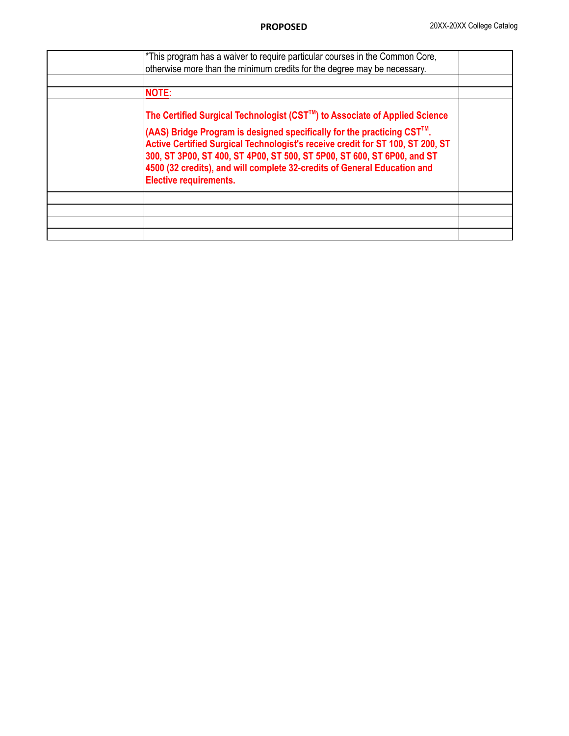| *This program has a waiver to require particular courses in the Common Core,<br>otherwise more than the minimum credits for the degree may be necessary.                                                                                                                                                                                                                                                                       |  |
|--------------------------------------------------------------------------------------------------------------------------------------------------------------------------------------------------------------------------------------------------------------------------------------------------------------------------------------------------------------------------------------------------------------------------------|--|
| <b>NOTE:</b>                                                                                                                                                                                                                                                                                                                                                                                                                   |  |
| The Certified Surgical Technologist (CST™) to Associate of Applied Science<br>(AAS) Bridge Program is designed specifically for the practicing CST™.<br>Active Certified Surgical Technologist's receive credit for ST 100, ST 200, ST<br>300, ST 3P00, ST 400, ST 4P00, ST 500, ST 5P00, ST 600, ST 6P00, and ST<br>4500 (32 credits), and will complete 32-credits of General Education and<br><b>Elective requirements.</b> |  |
|                                                                                                                                                                                                                                                                                                                                                                                                                                |  |
|                                                                                                                                                                                                                                                                                                                                                                                                                                |  |
|                                                                                                                                                                                                                                                                                                                                                                                                                                |  |
|                                                                                                                                                                                                                                                                                                                                                                                                                                |  |